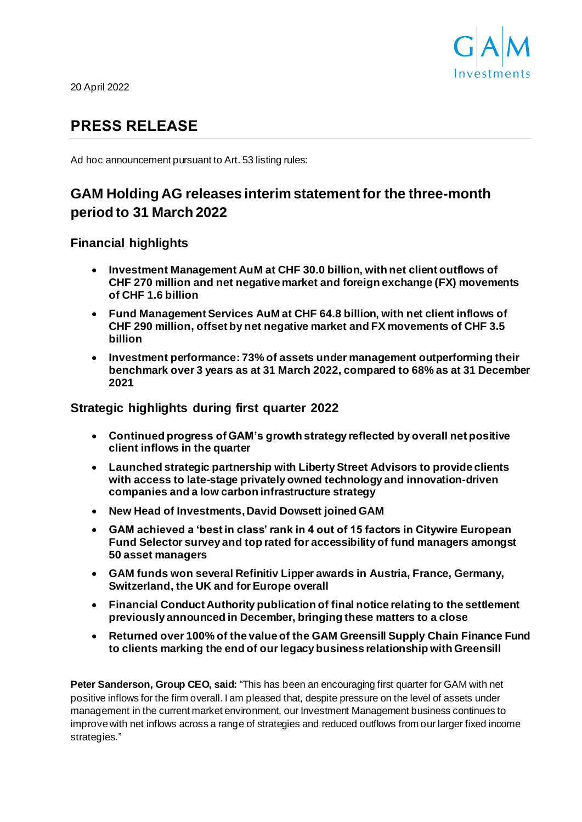

20 April 2022

# **PRESS RELEASE**

Ad hoc announcement pursuant to Art. 53 listing rules:

# **GAM Holding AG releases interim statement for the three-month period to 31 March 2022**

**Financial highlights**

- **Investment Management AuM at CHF 30.0 billion, with net client outflows of CHF 270 million and net negative market and foreign exchange (FX) movements of CHF 1.6 billion**
- **Fund Management Services AuM at CHF 64.8 billion, with net client inflows of CHF 290 million, offset by net negative market and FX movements of CHF 3.5 billion**
- **Investment performance: 73% of assets under management outperforming their benchmark over 3 years as at 31 March 2022, compared to 68% as at 31 December 2021**

**Strategic highlights during first quarter 2022**

- **Continued progress of GAM's growth strategy reflected by overall net positive client inflows in the quarter**
- **Launched strategic partnership with Liberty Street Advisors to provide clients with access to late-stage privately owned technology and innovation-driven companies and a low carbon infrastructure strategy**
- **New Head of Investments, David Dowsett joined GAM**
- **GAM achieved a 'best in class' rank in 4 out of 15 factors in Citywire European Fund Selector survey and top rated for accessibility of fund managers amongst 50 asset managers**
- **GAM funds won several Refinitiv Lipper awards in Austria, France, Germany, Switzerland, the UK and for Europe overall**
- **Financial Conduct Authority publication of final notice relating to the settlement previously announced in December, bringing these matters to a close**
- **Returned over 100% of the value of the GAM Greensill Supply Chain Finance Fund to clients marking the end of our legacy business relationship with Greensill**

**Peter Sanderson, Group CEO, said:** "This has been an encouraging first quarter for GAM with net positive inflows for the firm overall. I am pleased that, despite pressure on the level of assets under management in the current market environment, our Investment Management business continues to improve with net inflows across a range of strategies and reduced outflows from our larger fixed income strategies."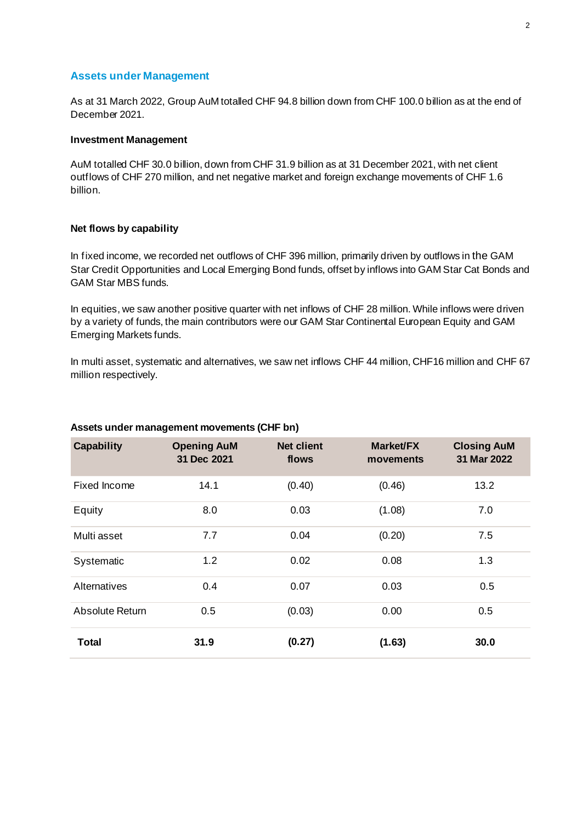# **Assets under Management**

As at 31 March 2022, Group AuM totalled CHF 94.8 billion down from CHF 100.0 billion as at the end of December 2021.

## **Investment Management**

AuM totalled CHF 30.0 billion, down from CHF 31.9 billion as at 31 December 2021, with net client outflows of CHF 270 million, and net negative market and foreign exchange movements of CHF 1.6 billion.

## **Net flows by capability**

In fixed income, we recorded net outflows of CHF 396 million, primarily driven by outflows in the GAM Star Credit Opportunities and Local Emerging Bond funds, offset by inflows into GAM Star Cat Bonds and GAM Star MBS funds.

In equities, we saw another positive quarter with net inflows of CHF 28 million. While inflows were driven by a variety of funds, the main contributors were our GAM Star Continental European Equity and GAM Emerging Markets funds.

In multi asset, systematic and alternatives, we saw net inflows CHF 44 million, CHF16 million and CHF 67 million respectively.

| <b>Capability</b> | <b>Opening AuM</b><br>31 Dec 2021 | <b>Net client</b><br>flows | Market/FX<br>movements | <b>Closing AuM</b><br>31 Mar 2022 |
|-------------------|-----------------------------------|----------------------------|------------------------|-----------------------------------|
| Fixed Income      | 14.1                              | (0.40)                     | (0.46)                 | 13.2                              |
| Equity            | 8.0                               | 0.03                       | (1.08)                 | 7.0                               |
| Multi asset       | 7.7                               | 0.04                       | (0.20)                 | 7.5                               |
| Systematic        | 1.2                               | 0.02                       | 0.08                   | 1.3                               |
| Alternatives      | 0.4                               | 0.07                       | 0.03                   | 0.5                               |
| Absolute Return   | 0.5                               | (0.03)                     | 0.00                   | 0.5                               |
| Total             | 31.9                              | (0.27)                     | (1.63)                 | 30.0                              |

#### **Assets under management movements (CHF bn)**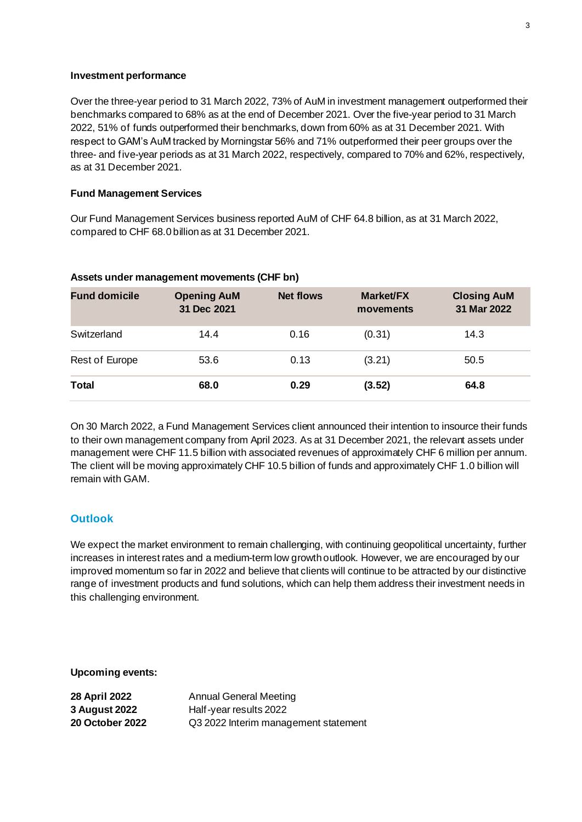## **Investment performance**

Over the three-year period to 31 March 2022, 73% of AuM in investment management outperformed their benchmarks compared to 68% as at the end of December 2021. Over the five-year period to 31 March 2022, 51% of funds outperformed their benchmarks, down from 60% as at 31 December 2021. With respect to GAM's AuM tracked by Morningstar 56% and 71% outperformed their peer groups over the three- and five-year periods as at 31 March 2022, respectively, compared to 70% and 62%, respectively, as at 31 December 2021.

## **Fund Management Services**

Our Fund Management Services business reported AuM of CHF 64.8 billion, as at 31 March 2022, compared to CHF 68.0billion as at 31 December 2021.

| <b>Fund domicile</b> | <b>Opening AuM</b><br>31 Dec 2021 | <b>Net flows</b> | Market/FX<br>movements | <b>Closing AuM</b><br>31 Mar 2022 |
|----------------------|-----------------------------------|------------------|------------------------|-----------------------------------|
| Switzerland          | 14.4                              | 0.16             | (0.31)                 | 14.3                              |
| Rest of Europe       | 53.6                              | 0.13             | (3.21)                 | 50.5                              |
| Total                | 68.0                              | 0.29             | (3.52)                 | 64.8                              |

## **Assets under management movements (CHF bn)**

On 30 March 2022, a Fund Management Services client announced their intention to insource their funds to their own management company from April 2023. As at 31 December 2021, the relevant assets under management were CHF 11.5 billion with associated revenues of approximately CHF 6 million per annum. The client will be moving approximately CHF 10.5 billion of funds and approximately CHF 1.0 billion will remain with GAM.

# **Outlook**

We expect the market environment to remain challenging, with continuing geopolitical uncertainty, further increases in interest rates and a medium-term low growth outlook. However, we are encouraged by our improved momentum so far in 2022 and believe that clients will continue to be attracted by our distinctive range of investment products and fund solutions, which can help them address their investment needs in this challenging environment.

**Upcoming events:**

| 28 April 2022          | <b>Annual General Meeting</b>        |
|------------------------|--------------------------------------|
| <b>3 August 2022</b>   | Half-year results 2022               |
| <b>20 October 2022</b> | Q3 2022 Interim management statement |